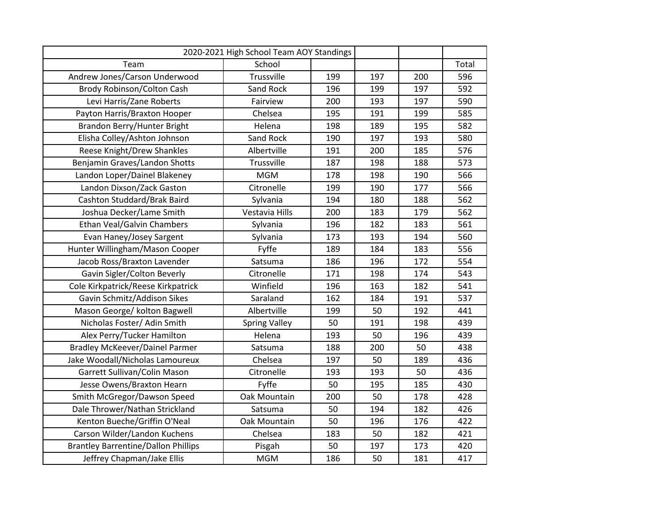| 2020-2021 High School Team AOY Standings   |                      |     |     |     |       |
|--------------------------------------------|----------------------|-----|-----|-----|-------|
| Team                                       | School               |     |     |     | Total |
| Andrew Jones/Carson Underwood              | Trussville           | 199 | 197 | 200 | 596   |
| Brody Robinson/Colton Cash                 | Sand Rock            | 196 | 199 | 197 | 592   |
| Levi Harris/Zane Roberts                   | Fairview             | 200 | 193 | 197 | 590   |
| Payton Harris/Braxton Hooper               | Chelsea              | 195 | 191 | 199 | 585   |
| Brandon Berry/Hunter Bright                | Helena               | 198 | 189 | 195 | 582   |
| Elisha Colley/Ashton Johnson               | Sand Rock            | 190 | 197 | 193 | 580   |
| Reese Knight/Drew Shankles                 | Albertville          | 191 | 200 | 185 | 576   |
| Benjamin Graves/Landon Shotts              | Trussville           | 187 | 198 | 188 | 573   |
| Landon Loper/Dainel Blakeney               | <b>MGM</b>           | 178 | 198 | 190 | 566   |
| Landon Dixson/Zack Gaston                  | Citronelle           | 199 | 190 | 177 | 566   |
| Cashton Studdard/Brak Baird                | Sylvania             | 194 | 180 | 188 | 562   |
| Joshua Decker/Lame Smith                   | Vestavia Hills       | 200 | 183 | 179 | 562   |
| Ethan Veal/Galvin Chambers                 | Sylvania             | 196 | 182 | 183 | 561   |
| Evan Haney/Josey Sargent                   | Sylvania             | 173 | 193 | 194 | 560   |
| Hunter Willingham/Mason Cooper             | Fyffe                | 189 | 184 | 183 | 556   |
| Jacob Ross/Braxton Lavender                | Satsuma              | 186 | 196 | 172 | 554   |
| Gavin Sigler/Colton Beverly                | Citronelle           | 171 | 198 | 174 | 543   |
| Cole Kirkpatrick/Reese Kirkpatrick         | Winfield             | 196 | 163 | 182 | 541   |
| Gavin Schmitz/Addison Sikes                | Saraland             | 162 | 184 | 191 | 537   |
| Mason George/ kolton Bagwell               | Albertville          | 199 | 50  | 192 | 441   |
| Nicholas Foster/ Adin Smith                | <b>Spring Valley</b> | 50  | 191 | 198 | 439   |
| Alex Perry/Tucker Hamilton                 | Helena               | 193 | 50  | 196 | 439   |
| <b>Bradley McKeever/Dainel Parmer</b>      | Satsuma              | 188 | 200 | 50  | 438   |
| Jake Woodall/Nicholas Lamoureux            | Chelsea              | 197 | 50  | 189 | 436   |
| Garrett Sullivan/Colin Mason               | Citronelle           | 193 | 193 | 50  | 436   |
| Jesse Owens/Braxton Hearn                  | Fyffe                | 50  | 195 | 185 | 430   |
| Smith McGregor/Dawson Speed                | Oak Mountain         | 200 | 50  | 178 | 428   |
| Dale Thrower/Nathan Strickland             | Satsuma              | 50  | 194 | 182 | 426   |
| Kenton Bueche/Griffin O'Neal               | Oak Mountain         | 50  | 196 | 176 | 422   |
| Carson Wilder/Landon Kuchens               | Chelsea              | 183 | 50  | 182 | 421   |
| <b>Brantley Barrentine/Dallon Phillips</b> | Pisgah               | 50  | 197 | 173 | 420   |
| Jeffrey Chapman/Jake Ellis                 | <b>MGM</b>           | 186 | 50  | 181 | 417   |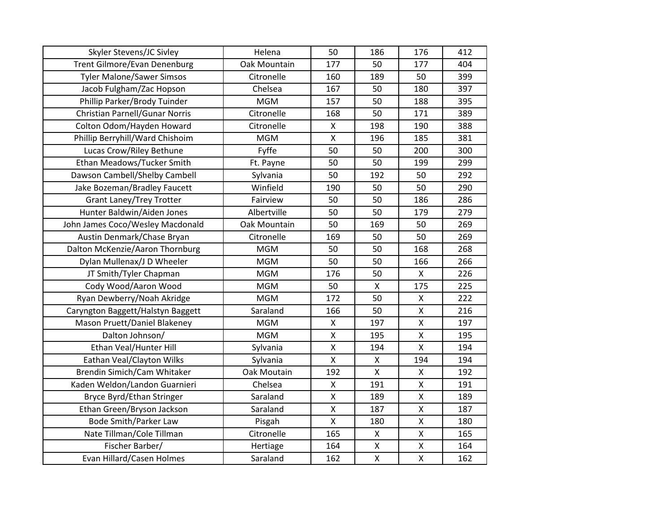| Skyler Stevens/JC Sivley          | Helena       | 50                 | 186          | 176 | 412 |
|-----------------------------------|--------------|--------------------|--------------|-----|-----|
| Trent Gilmore/Evan Denenburg      | Oak Mountain | 177                | 50           | 177 | 404 |
| <b>Tyler Malone/Sawer Simsos</b>  | Citronelle   | 160                | 189          | 50  | 399 |
| Jacob Fulgham/Zac Hopson          | Chelsea      | 167                | 50           | 180 | 397 |
| Phillip Parker/Brody Tuinder      | <b>MGM</b>   | 157                | 50           | 188 | 395 |
| Christian Parnell/Gunar Norris    | Citronelle   | 168                | 50           | 171 | 389 |
| Colton Odom/Hayden Howard         | Citronelle   | X                  | 198          | 190 | 388 |
| Phillip Berryhill/Ward Chishoim   | <b>MGM</b>   | $\mathsf{X}$       | 196          | 185 | 381 |
| Lucas Crow/Riley Bethune          | Fyffe        | 50                 | 50           | 200 | 300 |
| Ethan Meadows/Tucker Smith        | Ft. Payne    | 50                 | 50           | 199 | 299 |
| Dawson Cambell/Shelby Cambell     | Sylvania     | 50                 | 192          | 50  | 292 |
| Jake Bozeman/Bradley Faucett      | Winfield     | 190                | 50           | 50  | 290 |
| <b>Grant Laney/Trey Trotter</b>   | Fairview     | 50                 | 50           | 186 | 286 |
| Hunter Baldwin/Aiden Jones        | Albertville  | 50                 | 50           | 179 | 279 |
| John James Coco/Wesley Macdonald  | Oak Mountain | 50                 | 169          | 50  | 269 |
| Austin Denmark/Chase Bryan        | Citronelle   | 169                | 50           | 50  | 269 |
| Dalton McKenzie/Aaron Thornburg   | <b>MGM</b>   | 50                 | 50           | 168 | 268 |
| Dylan Mullenax/J D Wheeler        | <b>MGM</b>   | 50                 | 50           | 166 | 266 |
| JT Smith/Tyler Chapman            | <b>MGM</b>   | 176                | 50           | X   | 226 |
| Cody Wood/Aaron Wood              | <b>MGM</b>   | 50                 | X            | 175 | 225 |
| Ryan Dewberry/Noah Akridge        | <b>MGM</b>   | 172                | 50           | Χ   | 222 |
| Caryngton Baggett/Halstyn Baggett | Saraland     | 166                | 50           | X   | 216 |
| Mason Pruett/Daniel Blakeney      | <b>MGM</b>   | $\pmb{\mathsf{X}}$ | 197          | X   | 197 |
| Dalton Johnson/                   | <b>MGM</b>   | $\pmb{\mathsf{X}}$ | 195          | X   | 195 |
| Ethan Veal/Hunter Hill            | Sylvania     | $\pmb{\mathsf{X}}$ | 194          | X   | 194 |
| Eathan Veal/Clayton Wilks         | Sylvania     | $\pmb{\mathsf{X}}$ | X            | 194 | 194 |
| Brendin Simich/Cam Whitaker       | Oak Moutain  | 192                | $\mathsf{X}$ | X   | 192 |
| Kaden Weldon/Landon Guarnieri     | Chelsea      | $\pmb{\mathsf{X}}$ | 191          | X   | 191 |
| Bryce Byrd/Ethan Stringer         | Saraland     | $\pmb{\mathsf{X}}$ | 189          | X   | 189 |
| Ethan Green/Bryson Jackson        | Saraland     | $\pmb{\mathsf{X}}$ | 187          | Χ   | 187 |
| <b>Bode Smith/Parker Law</b>      | Pisgah       | $\pmb{\mathsf{X}}$ | 180          | X   | 180 |
| Nate Tillman/Cole Tillman         | Citronelle   | 165                | X            | Χ   | 165 |
| Fischer Barber/                   | Hertiage     | 164                | X            | Χ   | 164 |
| Evan Hillard/Casen Holmes         | Saraland     | 162                | $\mathsf{X}$ | X   | 162 |